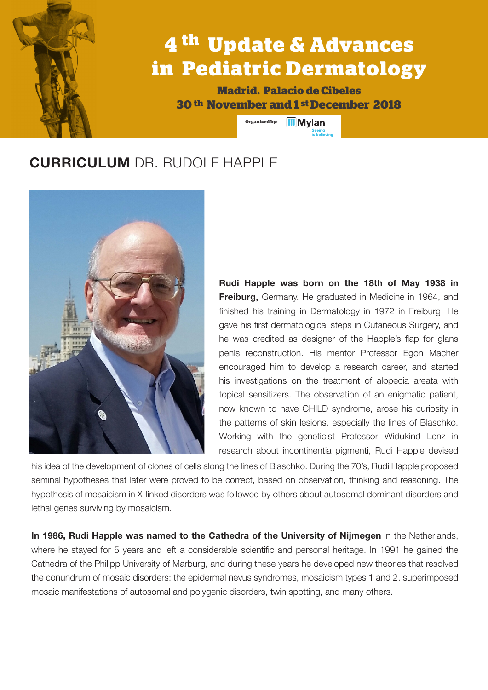# **4 th Update & Advances in Pediatric Dermatology**

**Madrid. Palacio de Cibeles 30 th November and 1 st December 2018**

> **Organized by: MWI**an

### **CURRICULUM** DR. RUDOLF HAPPLE



**Rudi Happle was born on the 18th of May 1938 in Freiburg,** Germany. He graduated in Medicine in 1964, and finished his training in Dermatology in 1972 in Freiburg. He gave his first dermatological steps in Cutaneous Surgery, and he was credited as designer of the Happle's flap for glans penis reconstruction. His mentor Professor Egon Macher encouraged him to develop a research career, and started his investigations on the treatment of alopecia areata with topical sensitizers. The observation of an enigmatic patient, now known to have CHILD syndrome, arose his curiosity in the patterns of skin lesions, especially the lines of Blaschko. Working with the geneticist Professor Widukind Lenz in research about incontinentia pigmenti, Rudi Happle devised

his idea of the development of clones of cells along the lines of Blaschko. During the 70's, Rudi Happle proposed seminal hypotheses that later were proved to be correct, based on observation, thinking and reasoning. The hypothesis of mosaicism in X-linked disorders was followed by others about autosomal dominant disorders and lethal genes surviving by mosaicism.

**In 1986, Rudi Happle was named to the Cathedra of the University of Nijmegen** in the Netherlands, where he stayed for 5 years and left a considerable scientific and personal heritage. In 1991 he gained the Cathedra of the Philipp University of Marburg, and during these years he developed new theories that resolved the conundrum of mosaic disorders: the epidermal nevus syndromes, mosaicism types 1 and 2, superimposed mosaic manifestations of autosomal and polygenic disorders, twin spotting, and many others.